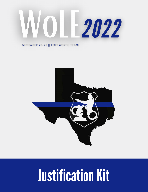# 0 2022

#### SEPTEMBER 20-23 || FORT WORTH, TEXAS



## **Justification Kit**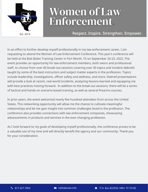

### **Women of Law** Enforcement.

#### Est. <sup>2014</sup> Respect. Inspire. Strengthen. Empower.

In an effort to further develop myself professionally in my law enforcement career, I am requesting to attend the Women of Law Enforcement Conference. This year's conference will be held at the Bob Bolen Training Center in Fort Worth, TX on September 20-23, 2022. The event provides an opportunity for law enforcement members, both sworn and professional staff, to choose from over 60 break-out sessions covering over 30 topics and incident debriefs taught by some of the best instructors and subject matter experts in the profession. Topics include leadership, investigations, officer safety and wellness, and more. Debrief presentations will provide a look at recent, real-world incidents, analyzing lessons learned and equipping me with best practices moving forward. In addition to the break-out sessions, there will be a series of tactical and hands-on scenario-based training, as well as several firearms courses.

In prior years, the event welcomed nearly five hundred attendees from across the United States. This networking opportunity will allow me the chance to cultivate meaningful relationships and let me gain insight into common challenges faced in the profession. The conference also provides connections with law enforcement companies, showcasing advancements in products and services in the ever-changing profession.

As I look forward to my goals of developing myself professionally, the conference proves to be a valuable use of my time and will directly benefit the agency and our community. Thank you for your consideration.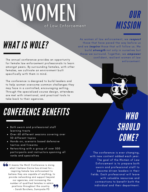## WOMFN of Law Enforcement

## OUR **MISSION**

## WHAT IS WOLE?

The annual conference provides an opportunity for female law enforcement professionals to learn amongst peers. By surrounding females, with other females, we cultivate an environment built specifically with them in mind.

The conference is designed to build leaders and to help women overcome common challenges they may face in a controlled, encouraging setting. Through the specialized course design, attendees are met with intentional, and practical tools to take back to their agencies.

## CONFERENCE BENEFITS

- Both sworn and professional staff learning tracts
- Over 60 different sessions covering over 30 different topics
- Hands-on, scenario based defensive tactics and firearms
- Networking with a group of over 500 participants and instructors spanning all ranks and specialties

It means the WoLE Conference is doing what I believe Carrie has strived for... inspiring female law enforcement to believe they are capable of anything, to provide networking and support beyond our agencies, and increasing the number of qualified females in admin positions throughout the country. - Sarah Borchers, Sunnyvale PD

As women of law enforcement, we **respect** those that have paved the way before us and we **inspire** those that will follow us. We build **strength** not only in ourselves but those we surround. Together, we **empower** confident, resilient women of law enforcement.

> WHO SHOULD COME?

The conference is ever changing, with new content added each year. The goal of the Women of Law Enforcement is to prepare both sworn and professional staff to become driven leaders in their fields. Each professional will leave with valuable resources and connections to benefit both the individual and their department.